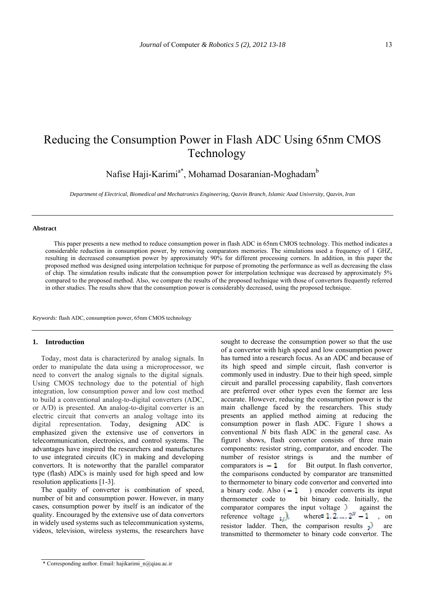# Reducing the Consumption Power in Flash ADC Using 65nm CMOS Technology

Nafise Haji-Karimi<sup>a\*</sup>, Mohamad Dosaranian-Moghadam<sup>b</sup>

*Department of Electrical, Biomedical and Mechatronics Engineering, Qazvin Branch, Islamic Azad University, Qazvin, Iran* 

#### **Abstract**

This paper presents a new method to reduce consumption power in flash ADC in 65nm CMOS technology. This method indicates a considerable reduction in consumption power, by removing comparators memories. The simulations used a frequency of 1 GHZ, resulting in decreased consumption power by approximately 90% for different processing corners. In addition, in this paper the proposed method was designed using interpolation technique for purpose of promoting the performance as well as decreasing the class of chip. The simulation results indicate that the consumption power for interpolation technique was decreased by approximately 5% compared to the proposed method. Also, we compare the results of the proposed technique with those of convertors frequently referred in other studies. The results show that the consumption power is considerably decreased, using the proposed technique.

*Keywords:* flash ADC, consumption power, 65nm CMOS technology

#### **1. Introduction**

Today, most data is characterized by analog signals. In order to manipulate the data using a microprocessor, we need to convert the analog signals to the digital signals. Using CMOS technology due to the potential of high integration, low consumption power and low cost method to build a conventional analog-to-digital converters (ADC, or A/D) is presented. An analog-to-digital converter is an electric circuit that converts an analog voltage into its digital representation. Today, designing ADC is emphasized given the extensive use of convertors in telecommunication, electronics, and control systems. The advantages have inspired the researchers and manufactures to use integrated circuits (IC) in making and developing convertors. It is noteworthy that the parallel comparator type (flash) ADCs is mainly used for high speed and low resolution applications [1-3].

The quality of converter is combination of speed, number of bit and consumption power. However, in many cases, consumption power by itself is an indicator of the quality. Encouraged by the extensive use of data convertors in widely used systems such as telecommunication systems, videos, television, wireless systems, the researchers have

has turned into a research focus. As an ADC and because of its high speed and simple circuit, flash convertor is commonly used in industry. Due to their high speed, simple circuit and parallel processing capability, flash convertors are preferred over other types even the former are less accurate. However, reducing the consumption power is the main challenge faced by the researchers. This study presents an applied method aiming at reducing the consumption power in flash ADC. Figure 1 shows a conventional *N* bits flash ADC in the general case. As figure1 shows, flash convertor consists of three main components: resistor string, comparator, and encoder. The number of resistor strings is and the number of comparators is  $\overline{-1}$  for Bit output. In flash convertor, the comparisons conducted by comparator are transmitted to thermometer to binary code convertor and converted into a binary code. Also  $(-1)$  encoder converts its input thermometer code to bit binary code. Initially, the comparator compares the input voltage ) against the reference voltage  $\mu$ , where  $1, 2, ..., 2^N - 1$ , on resistor ladder. Then, the comparison results  $\overrightarrow{v}$  are transmitted to thermometer to binary code convertor. The

sought to decrease the consumption power so that the use of a convertor with high speed and low consumption power

<sup>\*</sup> Corresponding author. Email: hajikarimi\_n@qiau.ac.ir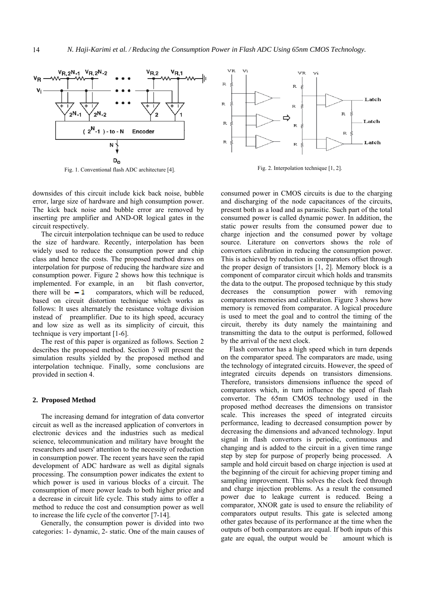

Fig. 1. Conventional flash ADC architecture [4]. Fig. 2. Interpolation technique [1, 2].

downsides of this circuit include kick back noise, bubble error, large size of hardware and high consumption power. The kick back noise and bubble error are removed by inserting pre amplifier and AND-OR logical gates in the circuit respectively.

The circuit interpolation technique can be used to reduce the size of hardware. Recently, interpolation has been widely used to reduce the consumption power and chip class and hence the costs. The proposed method draws on interpolation for purpose of reducing the hardware size and consumption power. Figure 2 shows how this technique is implemented. For example, in an bit flash convertor, there will be  $-1$  comparators, which will be reduced, based on circuit distortion technique which works as follows: It uses alternately the resistance voltage division instead of preamplifier. Due to its high speed, accuracy and low size as well as its simplicity of circuit, this technique is very important [1-6].

The rest of this paper is organized as follows. Section 2 describes the proposed method. Section 3 will present the simulation results yielded by the proposed method and interpolation technique. Finally, some conclusions are provided in section 4.

#### **2. Proposed Method**

The increasing demand for integration of data convertor circuit as well as the increased application of convertors in electronic devices and the industries such as medical science, telecommunication and military have brought the researchers and users' attention to the necessity of reduction in consumption power. The recent years have seen the rapid development of ADC hardware as well as digital signals processing. The consumption power indicates the extent to which power is used in various blocks of a circuit. The consumption of more power leads to both higher price and a decrease in circuit life cycle. This study aims to offer a method to reduce the cost and consumption power as well to increase the life cycle of the convertor [7-14].

Generally, the consumption power is divided into two categories: 1- dynamic, 2- static. One of the main causes of



consumed power in CMOS circuits is due to the charging and discharging of the node capacitances of the circuits, present both as a load and as parasitic. Such part of the total consumed power is called dynamic power. In addition, the static power results from the consumed power due to charge injection and the consumed power by voltage source. Literature on convertors shows the role of convertors calibration in reducing the consumption power. This is achieved by reduction in comparators offset through the proper design of transistors [1, 2]. Memory block is a component of comparator circuit which holds and transmits the data to the output. The proposed technique by this study decreases the consumption power with removing comparators memories and calibration. Figure 3 shows how memory is removed from comparator. A logical procedure is used to meet the goal and to control the timing of the circuit, thereby its duty namely the maintaining and transmitting the data to the output is performed, followed by the arrival of the next clock.

Flash convertor has a high speed which in turn depends on the comparator speed. The comparators are made, using the technology of integrated circuits. However, the speed of integrated circuits depends on transistors dimensions. Therefore, transistors dimensions influence the speed of comparators which, in turn influence the speed of flash convertor. The 65nm CMOS technology used in the proposed method decreases the dimensions on transistor scale. This increases the speed of integrated circuits performance, leading to decreased consumption power by decreasing the dimensions and advanced technology. Input signal in flash convertors is periodic, continuous and changing and is added to the circuit in a given time range step by step for purpose of properly being processed. A sample and hold circuit based on charge injection is used at the beginning of the circuit for achieving proper timing and sampling improvement. This solves the clock feed through and charge injection problems. As a result the consumed power due to leakage current is reduced. Being a comparator, XNOR gate is used to ensure the reliability of comparators output results. This gate is selected among other gates because of its performance at the time when the outputs of both comparators are equal. If both inputs of this gate are equal, the output would be amount which is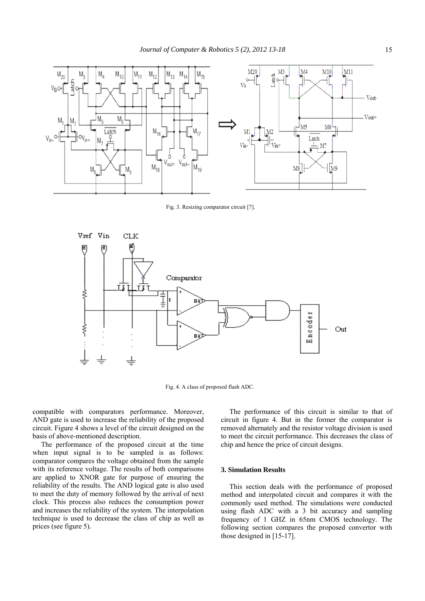

Fig. 3. Resizing comparator circuit [7].



Fig. 4. A class of proposed flash ADC.

compatible with comparators performance. Moreover, AND gate is used to increase the reliability of the proposed circuit. Figure 4 shows a level of the circuit designed on the basis of above-mentioned description.

The performance of the proposed circuit at the time when input signal is to be sampled is as follows: comparator compares the voltage obtained from the sample with its reference voltage. The results of both comparisons are applied to XNOR gate for purpose of ensuring the reliability of the results. The AND logical gate is also used to meet the duty of memory followed by the arrival of next clock. This process also reduces the consumption power and increases the reliability of the system. The interpolation technique is used to decrease the class of chip as well as prices (see figure 5).

The performance of this circuit is similar to that of circuit in figure 4. But in the former the comparator is removed alternately and the resistor voltage division is used to meet the circuit performance. This decreases the class of chip and hence the price of circuit designs.

## **3. Simulation Results**

This section deals with the performance of proposed method and interpolated circuit and compares it with the commonly used method. The simulations were conducted using flash ADC with a 3 bit accuracy and sampling frequency of 1 GHZ in 65nm CMOS technology. The following section compares the proposed convertor with those designed in [15-17].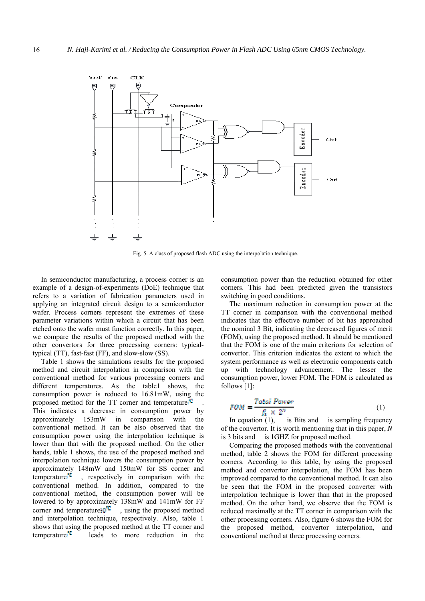

Fig. 5. A class of proposed flash ADC using the interpolation technique.

In semiconductor manufacturing, a process corner is an example of a design-of-experiments (DoE) technique that refers to a variation of fabrication parameters used in applying an integrated circuit design to a semiconductor wafer. Process corners represent the extremes of these parameter variations within which a circuit that has been etched onto the wafer must function correctly. In this paper, we compare the results of the proposed method with the other convertors for three processing corners: typicaltypical (TT), fast-fast (FF), and slow-slow (SS).

Table 1 shows the simulations results for the proposed method and circuit interpolation in comparison with the conventional method for various processing corners and different temperatures. As the table1 shows, the consumption power is reduced to 16.81mW, using the proposed method for the TT corner and temperature<sup>10</sup> This indicates a decrease in consumption power by approximately 153mW in comparison with the approximately 153mW in comparison with the conventional method. It can be also observed that the consumption power using the interpolation technique is lower than that with the proposed method. On the other hands, table 1 shows, the use of the proposed method and interpolation technique lowers the consumption power by approximately 148mW and 150mW for SS corner and temperature<sup> $\mathbb{C}$ </sup>, respectively in comparison with the conventional method. In addition, compared to the conventional method, the consumption power will be lowered to by approximately 138mW and 141mW for FF corner and temperature $10^{12}$ , using the proposed method , using the proposed method and interpolation technique, respectively. Also, table 1 shows that using the proposed method at the TT corner and temperature  $\mathbb{C}$  leads to more reduction in the consumption power than the reduction obtained for other corners. This had been predicted given the transistors switching in good conditions.

The maximum reduction in consumption power at the TT corner in comparison with the conventional method indicates that the effective number of bit has approached the nominal 3 Bit, indicating the decreased figures of merit (FOM), using the proposed method. It should be mentioned that the FOM is one of the main criterions for selection of convertor. This criterion indicates the extent to which the system performance as well as electronic components catch up with technology advancement. The lesser the consumption power, lower FOM. The FOM is calculated as follows [1]:

$$
FOM = \frac{Total Power}{f_s \times 2^N}
$$
 (1)

In equation  $(1)$ , is Bits and is sampling frequency of the convertor. It is worth mentioning that in this paper, *N* is 3 bits and is 1GHZ for proposed method.

Comparing the proposed methods with the conventional method, table 2 shows the FOM for different processing corners. According to this table, by using the proposed method and convertor interpolation, the FOM has been improved compared to the conventional method. It can also be seen that the FOM in the proposed converter with interpolation technique is lower than that in the proposed method. On the other hand, we observe that the FOM is reduced maximally at the TT corner in comparison with the other processing corners. Also, figure 6 shows the FOM for the proposed method, convertor interpolation, and conventional method at three processing corners.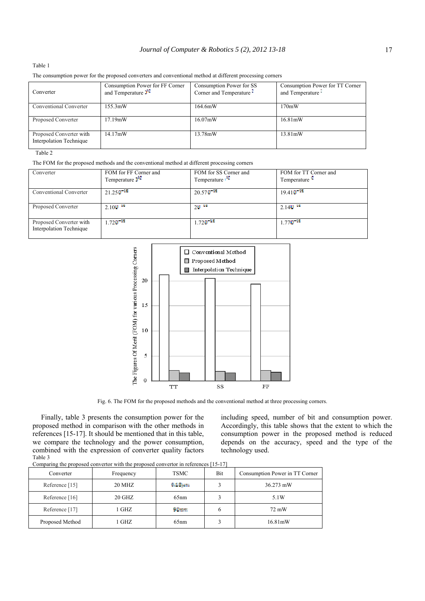#### *Journal of Computer & Robotics 5 (2), 2012 13-18* 17

### Table 1

The consumption power for the proposed converters and conventional method at different processing corners

| Converter                                                 | Consumption Power for FF Corner<br>and Temperature $f^{\mu}$ | Consumption Power for SS<br>Corner and Temperature • | Consumption Power for TT Corner<br>and Temperature |
|-----------------------------------------------------------|--------------------------------------------------------------|------------------------------------------------------|----------------------------------------------------|
| Conventional Converter                                    | $155.3$ mW                                                   | 164.6mW                                              | 170mW                                              |
| Proposed Converter                                        | 17.19mW                                                      | $16.07 \text{mW}$                                    | $16.81 \text{mW}$                                  |
| Proposed Converter with<br><b>Interpolation Technique</b> | $14.17 \text{mW}$                                            | 13.78mW                                              | $13.81 \text{mW}$                                  |

## Table 2

The FOM for the proposed methods and the conventional method at different processing corners

| Converter                                          | FOM for FF Corner and                 | FOM for SS Corner and               | FOM for TT Corner and    |  |
|----------------------------------------------------|---------------------------------------|-------------------------------------|--------------------------|--|
|                                                    | Temperature $\mathbf{I}^{\mathbf{C}}$ | Temperature                         | Temperature <sup>L</sup> |  |
| Conventional Converter                             | $21.250$ <sup>12</sup>                | $20.570$ <sup>13</sup>              | $19.410^{+12}$           |  |
| Proposed Converter                                 | $2.100$ $\frac{38}{10}$               | $20^{-18}$                          | $2.14$ <sup>1</sup>      |  |
| Proposed Converter with<br>Interpolation Technique | 1 72 II <sup>12</sup>                 | $1.720$ <sup><math>+22</math></sup> | $1.77$ $0^{-18}$         |  |



Fig. 6. The FOM for the proposed methods and the conventional method at three processing corners.

Finally, table 3 presents the consumption power for the proposed method in comparison with the other methods in references [15-17]. It should be mentioned that in this table, we compare the technology and the power consumption, combined with the expression of converter quality factors Table 3

including speed, number of bit and consumption power. Accordingly, this table shows that the extent to which the consumption power in the proposed method is reduced depends on the accuracy, speed and the type of the technology used.

| Converter       | Frequency | <b>TSMC</b>    | Bit | Consumption Power in TT Corner |
|-----------------|-----------|----------------|-----|--------------------------------|
| Reference [15]  | 20 MHZ    | $0.13 \mu m$   |     | 36.273 mW                      |
| Reference [16]  | 20 GHZ    | 65nm           |     | 5.1W                           |
| Reference [17]  | 1 GHZ     | <b>Milence</b> | h   | 72 mW                          |
| Proposed Method | 1 GHZ     | 65nm           |     | 16.81mW                        |

Comparing the proposed convertor with the proposed convertor in references [15-17]